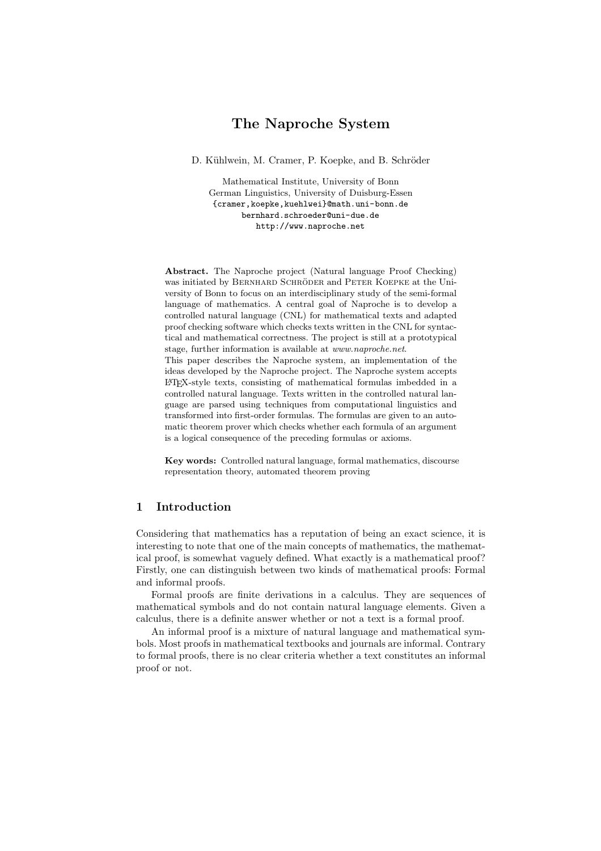# The Naproche System

D. Kühlwein, M. Cramer, P. Koepke, and B. Schröder

Mathematical Institute, University of Bonn German Linguistics, University of Duisburg-Essen {cramer,koepke,kuehlwei}@math.uni-bonn.de bernhard.schroeder@uni-due.de http://www.naproche.net

Abstract. The Naproche project (Natural language Proof Checking) was initiated by BERNHARD SCHRÖDER and PETER KOEPKE at the University of Bonn to focus on an interdisciplinary study of the semi-formal language of mathematics. A central goal of Naproche is to develop a controlled natural language (CNL) for mathematical texts and adapted proof checking software which checks texts written in the CNL for syntactical and mathematical correctness. The project is still at a prototypical stage, further information is available at *www.naproche.net*.

This paper describes the Naproche system, an implementation of the ideas developed by the Naproche project. The Naproche system accepts L<sup>A</sup>TEX-style texts, consisting of mathematical formulas imbedded in a controlled natural language. Texts written in the controlled natural language are parsed using techniques from computational linguistics and transformed into first-order formulas. The formulas are given to an automatic theorem prover which checks whether each formula of an argument is a logical consequence of the preceding formulas or axioms.

Key words: Controlled natural language, formal mathematics, discourse representation theory, automated theorem proving

## 1 Introduction

Considering that mathematics has a reputation of being an exact science, it is interesting to note that one of the main concepts of mathematics, the mathematical proof, is somewhat vaguely defined. What exactly is a mathematical proof? Firstly, one can distinguish between two kinds of mathematical proofs: Formal and informal proofs.

Formal proofs are finite derivations in a calculus. They are sequences of mathematical symbols and do not contain natural language elements. Given a calculus, there is a definite answer whether or not a text is a formal proof.

An informal proof is a mixture of natural language and mathematical symbols. Most proofs in mathematical textbooks and journals are informal. Contrary to formal proofs, there is no clear criteria whether a text constitutes an informal proof or not.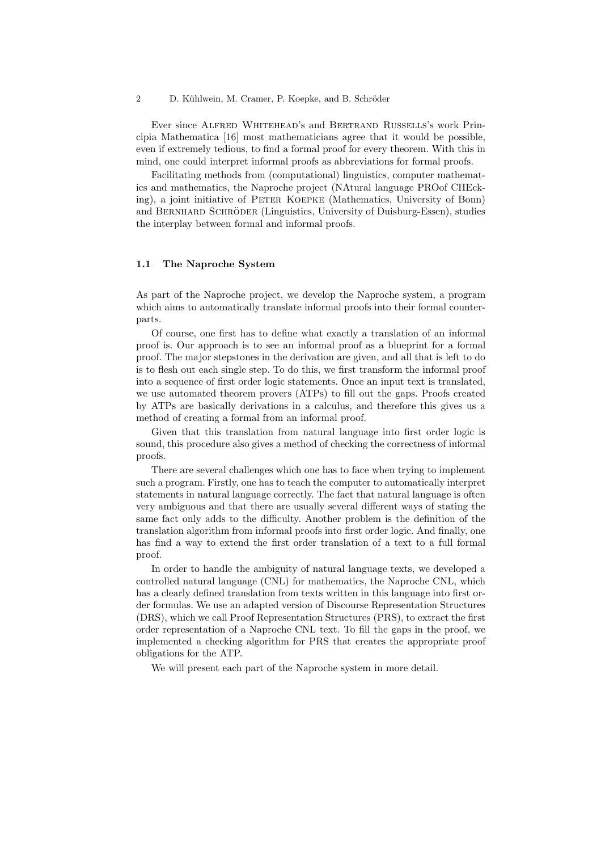2 D. Kühlwein, M. Cramer, P. Koepke, and B. Schröder

Ever since Alfred Whitehead's and Bertrand Russells's work Principia Mathematica [16] most mathematicians agree that it would be possible, even if extremely tedious, to find a formal proof for every theorem. With this in mind, one could interpret informal proofs as abbreviations for formal proofs.

Facilitating methods from (computational) linguistics, computer mathematics and mathematics, the Naproche project (NAtural language PROof CHEcking), a joint initiative of Peter Koepke (Mathematics, University of Bonn) and BERNHARD SCHRÖDER (Linguistics, University of Duisburg-Essen), studies the interplay between formal and informal proofs.

#### 1.1 The Naproche System

As part of the Naproche project, we develop the Naproche system, a program which aims to automatically translate informal proofs into their formal counterparts.

Of course, one first has to define what exactly a translation of an informal proof is. Our approach is to see an informal proof as a blueprint for a formal proof. The major stepstones in the derivation are given, and all that is left to do is to flesh out each single step. To do this, we first transform the informal proof into a sequence of first order logic statements. Once an input text is translated, we use automated theorem provers (ATPs) to fill out the gaps. Proofs created by ATPs are basically derivations in a calculus, and therefore this gives us a method of creating a formal from an informal proof.

Given that this translation from natural language into first order logic is sound, this procedure also gives a method of checking the correctness of informal proofs.

There are several challenges which one has to face when trying to implement such a program. Firstly, one has to teach the computer to automatically interpret statements in natural language correctly. The fact that natural language is often very ambiguous and that there are usually several different ways of stating the same fact only adds to the difficulty. Another problem is the definition of the translation algorithm from informal proofs into first order logic. And finally, one has find a way to extend the first order translation of a text to a full formal proof.

In order to handle the ambiguity of natural language texts, we developed a controlled natural language (CNL) for mathematics, the Naproche CNL, which has a clearly defined translation from texts written in this language into first order formulas. We use an adapted version of Discourse Representation Structures (DRS), which we call Proof Representation Structures (PRS), to extract the first order representation of a Naproche CNL text. To fill the gaps in the proof, we implemented a checking algorithm for PRS that creates the appropriate proof obligations for the ATP.

We will present each part of the Naproche system in more detail.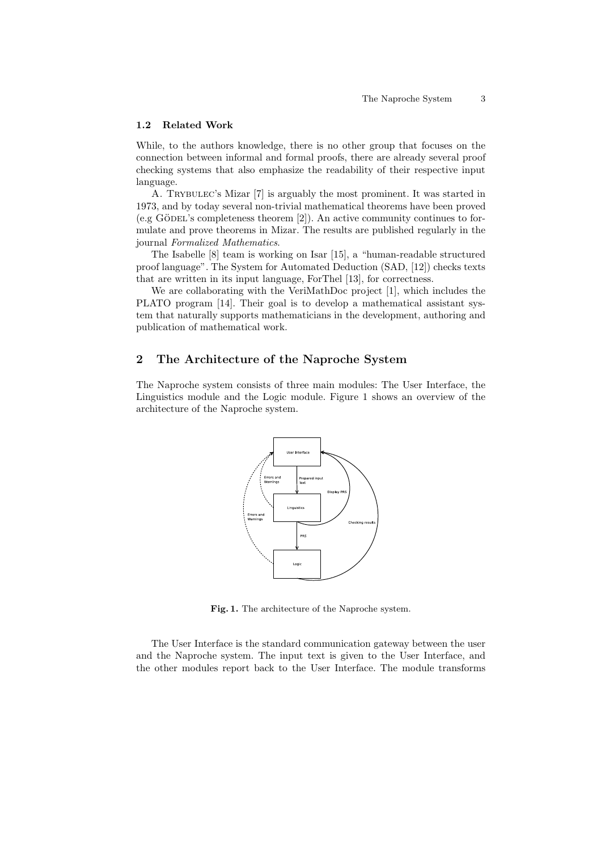#### 1.2 Related Work

While, to the authors knowledge, there is no other group that focuses on the connection between informal and formal proofs, there are already several proof checking systems that also emphasize the readability of their respective input language.

A. Trybulec's Mizar [7] is arguably the most prominent. It was started in 1973, and by today several non-trivial mathematical theorems have been proved  $(e.g. GÖDEL's completeness theorem [2]).$  An active community continues to formulate and prove theorems in Mizar. The results are published regularly in the journal Formalized Mathematics.

The Isabelle [8] team is working on Isar [15], a "human-readable structured proof language". The System for Automated Deduction (SAD, [12]) checks texts that are written in its input language, ForThel [13], for correctness.

We are collaborating with the VeriMathDoc project [1], which includes the PLATO program [14]. Their goal is to develop a mathematical assistant system that naturally supports mathematicians in the development, authoring and publication of mathematical work.

## 2 The Architecture of the Naproche System

The Naproche system consists of three main modules: The User Interface, the Linguistics module and the Logic module. Figure 1 shows an overview of the architecture of the Naproche system.



Fig. 1. The architecture of the Naproche system.

The User Interface is the standard communication gateway between the user and the Naproche system. The input text is given to the User Interface, and the other modules report back to the User Interface. The module transforms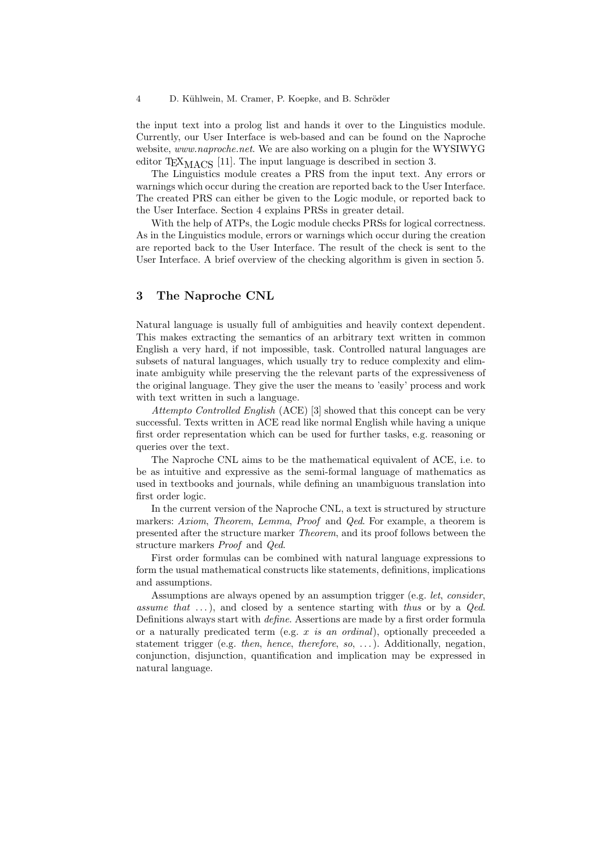the input text into a prolog list and hands it over to the Linguistics module. Currently, our User Interface is web-based and can be found on the Naproche website, www.naproche.net. We are also working on a plugin for the WYSIWYG editor T $EX_{MACS}$  [11]. The input language is described in section 3.

The Linguistics module creates a PRS from the input text. Any errors or warnings which occur during the creation are reported back to the User Interface. The created PRS can either be given to the Logic module, or reported back to the User Interface. Section 4 explains PRSs in greater detail.

With the help of ATPs, the Logic module checks PRSs for logical correctness. As in the Linguistics module, errors or warnings which occur during the creation are reported back to the User Interface. The result of the check is sent to the User Interface. A brief overview of the checking algorithm is given in section 5.

## 3 The Naproche CNL

Natural language is usually full of ambiguities and heavily context dependent. This makes extracting the semantics of an arbitrary text written in common English a very hard, if not impossible, task. Controlled natural languages are subsets of natural languages, which usually try to reduce complexity and eliminate ambiguity while preserving the the relevant parts of the expressiveness of the original language. They give the user the means to 'easily' process and work with text written in such a language.

Attempto Controlled English (ACE) [3] showed that this concept can be very successful. Texts written in ACE read like normal English while having a unique first order representation which can be used for further tasks, e.g. reasoning or queries over the text.

The Naproche CNL aims to be the mathematical equivalent of ACE, i.e. to be as intuitive and expressive as the semi-formal language of mathematics as used in textbooks and journals, while defining an unambiguous translation into first order logic.

In the current version of the Naproche CNL, a text is structured by structure markers: Axiom, Theorem, Lemma, Proof and Qed. For example, a theorem is presented after the structure marker Theorem, and its proof follows between the structure markers Proof and Qed.

First order formulas can be combined with natural language expressions to form the usual mathematical constructs like statements, definitions, implications and assumptions.

Assumptions are always opened by an assumption trigger (e.g. let, consider, assume that  $\dots$ , and closed by a sentence starting with thus or by a *Qed*. Definitions always start with define. Assertions are made by a first order formula or a naturally predicated term (e.g.  $x$  is an ordinal), optionally preceded a statement trigger (e.g. *then, hence, therefore, so, ...*). Additionally, negation, conjunction, disjunction, quantification and implication may be expressed in natural language.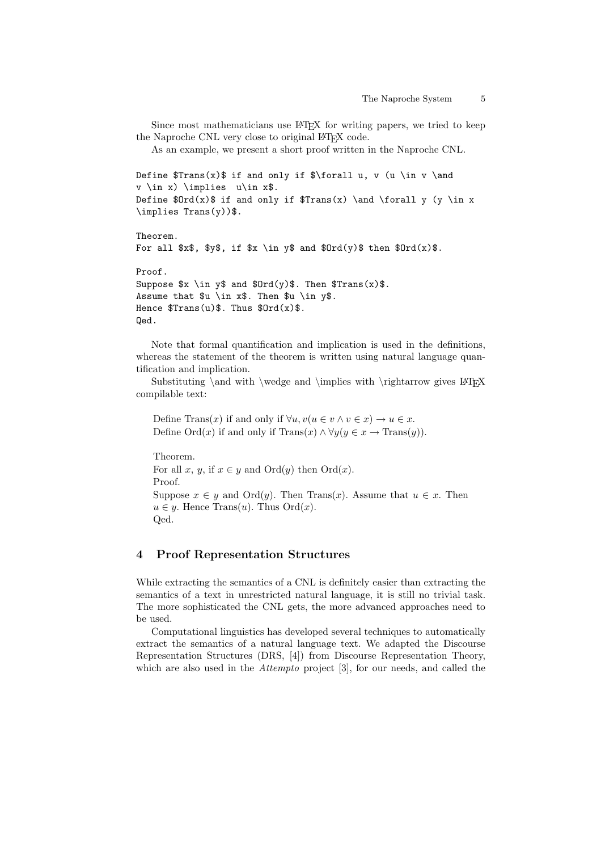Since most mathematicians use LAT<sub>EX</sub> for writing papers, we tried to keep the Naproche CNL very close to original LAT<sub>E</sub>X code.

As an example, we present a short proof written in the Naproche CNL.

```
Define Trans(x) if and only if \forall forall u, v (u \in v \and
v \in x) \implies u\in x$.
Define Drd(x) if and only if Trans(x) and \forall y (y \in x
\implies Trans(y))$.
```
Theorem. For all  $x\$ ,  $y\$ , if  $x \in y\$  and  $Drd(y)\$  then  $drd(x)\$ . Proof. Suppose  $x \in y$  and  $Drd(y)$ . Then  $Trans(x)$ . Assume that \$u \in x\$. Then \$u \in y\$. Hence  $Trans(u)$ . Thus  $f0rd(x)$ . Qed.

Note that formal quantification and implication is used in the definitions, whereas the statement of the theorem is written using natural language quantification and implication.

Substituting \and with \wedge and \implies with \rightarrow gives  $\,\mathrm{BTr}X$ compilable text:

Define Trans $(x)$  if and only if  $\forall u, v(u \in v \land v \in x) \rightarrow u \in x$ . Define Ord $(x)$  if and only if  $\text{Trans}(x) \land \forall y (y \in x \rightarrow \text{Trans}(y)).$ 

Theorem. For all x, y, if  $x \in y$  and  $\text{Ord}(y)$  then  $\text{Ord}(x)$ . Proof. Suppose  $x \in y$  and  $\text{Ord}(y)$ . Then Trans(x). Assume that  $u \in x$ . Then  $u \in y$ . Hence Trans $(u)$ . Thus  $Ord(x)$ . Qed.

### 4 Proof Representation Structures

While extracting the semantics of a CNL is definitely easier than extracting the semantics of a text in unrestricted natural language, it is still no trivial task. The more sophisticated the CNL gets, the more advanced approaches need to be used.

Computational linguistics has developed several techniques to automatically extract the semantics of a natural language text. We adapted the Discourse Representation Structures (DRS, [4]) from Discourse Representation Theory, which are also used in the Attempto project [3], for our needs, and called the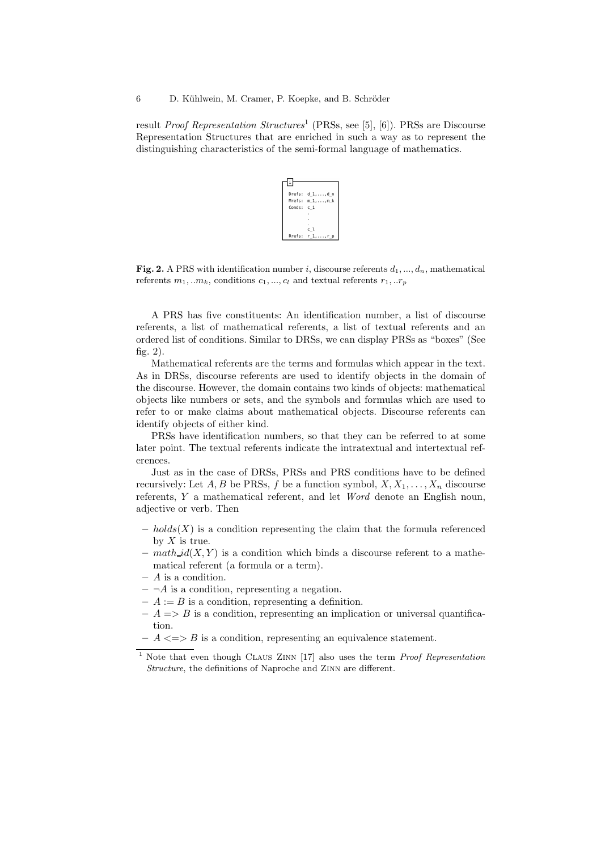result *Proof Representation Structures*<sup>1</sup> (PRSs, see [5], [6]). PRSs are Discourse Representation Structures that are enriched in such a way as to represent the distinguishing characteristics of the semi-formal language of mathematics.



**Fig. 2.** A PRS with identification number i, discourse referents  $d_1, ..., d_n$ , mathematical referents  $m_1, ... m_k$ , conditions  $c_1, ..., c_l$  and textual referents  $r_1, ... r_p$ 

A PRS has five constituents: An identification number, a list of discourse referents, a list of mathematical referents, a list of textual referents and an ordered list of conditions. Similar to DRSs, we can display PRSs as "boxes" (See fig. 2).

Mathematical referents are the terms and formulas which appear in the text. As in DRSs, discourse referents are used to identify objects in the domain of the discourse. However, the domain contains two kinds of objects: mathematical objects like numbers or sets, and the symbols and formulas which are used to refer to or make claims about mathematical objects. Discourse referents can identify objects of either kind.

PRSs have identification numbers, so that they can be referred to at some later point. The textual referents indicate the intratextual and intertextual references.

Just as in the case of DRSs, PRSs and PRS conditions have to be defined recursively: Let A, B be PRSs, f be a function symbol,  $X, X_1, \ldots, X_n$  discourse referents, Y a mathematical referent, and let Word denote an English noun, adjective or verb. Then

- $-$  holds(X) is a condition representing the claim that the formula referenced by  $X$  is true.
- $\text{ *math-id*(X, Y)$  is a condition which binds a discourse referent to a mathematical referent (a formula or a term).
- A is a condition.
- $\neg A$  is a condition, representing a negation.
- $-A := B$  is a condition, representing a definition.
- $-A \Rightarrow B$  is a condition, representing an implication or universal quantification.
- $A \leq S$  is a condition, representing an equivalence statement.

<sup>1</sup> Note that even though Claus Zinn [17] also uses the term *Proof Representation Structure*, the definitions of Naproche and Zinn are different.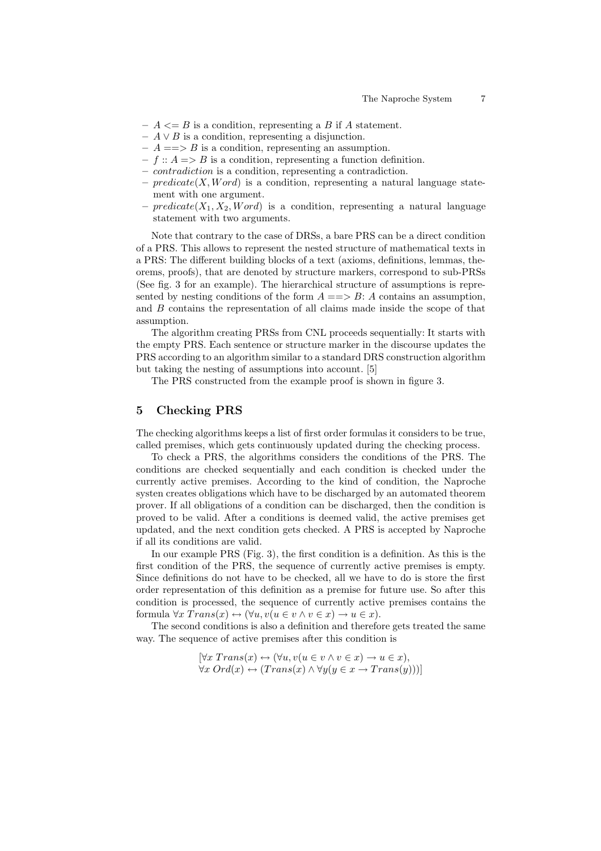- $A \leq B$  is a condition, representing a B if A statement.
- $A \vee B$  is a condition, representing a disjunction.
- $-A \implies B$  is a condition, representing an assumption.
- $f :: A \Longrightarrow B$  is a condition, representing a function definition.
- contradiction is a condition, representing a contradiction.
- $predicate(X, Word)$  is a condition, representing a natural language statement with one argument.
- predicate  $(X_1, X_2, Word)$  is a condition, representing a natural language statement with two arguments.

Note that contrary to the case of DRSs, a bare PRS can be a direct condition of a PRS. This allows to represent the nested structure of mathematical texts in a PRS: The different building blocks of a text (axioms, definitions, lemmas, theorems, proofs), that are denoted by structure markers, correspond to sub-PRSs (See fig. 3 for an example). The hierarchical structure of assumptions is represented by nesting conditions of the form  $A = \Rightarrow B: A$  contains an assumption, and B contains the representation of all claims made inside the scope of that assumption.

The algorithm creating PRSs from CNL proceeds sequentially: It starts with the empty PRS. Each sentence or structure marker in the discourse updates the PRS according to an algorithm similar to a standard DRS construction algorithm but taking the nesting of assumptions into account. [5]

The PRS constructed from the example proof is shown in figure 3.

### 5 Checking PRS

The checking algorithms keeps a list of first order formulas it considers to be true, called premises, which gets continuously updated during the checking process.

To check a PRS, the algorithms considers the conditions of the PRS. The conditions are checked sequentially and each condition is checked under the currently active premises. According to the kind of condition, the Naproche systen creates obligations which have to be discharged by an automated theorem prover. If all obligations of a condition can be discharged, then the condition is proved to be valid. After a conditions is deemed valid, the active premises get updated, and the next condition gets checked. A PRS is accepted by Naproche if all its conditions are valid.

In our example PRS (Fig. 3), the first condition is a definition. As this is the first condition of the PRS, the sequence of currently active premises is empty. Since definitions do not have to be checked, all we have to do is store the first order representation of this definition as a premise for future use. So after this condition is processed, the sequence of currently active premises contains the formula  $\forall x \; Trans(x) \leftrightarrow (\forall u, v(u \in v \land v \in x) \rightarrow u \in x).$ 

The second conditions is also a definition and therefore gets treated the same way. The sequence of active premises after this condition is

$$
[\forall x \ Trans(x) \leftrightarrow (\forall u, v(u \in v \land v \in x) \rightarrow u \in x),\forall x \ Ord(x) \leftrightarrow (Trans(x) \land \forall y(y \in x \rightarrow Trans(y)))]
$$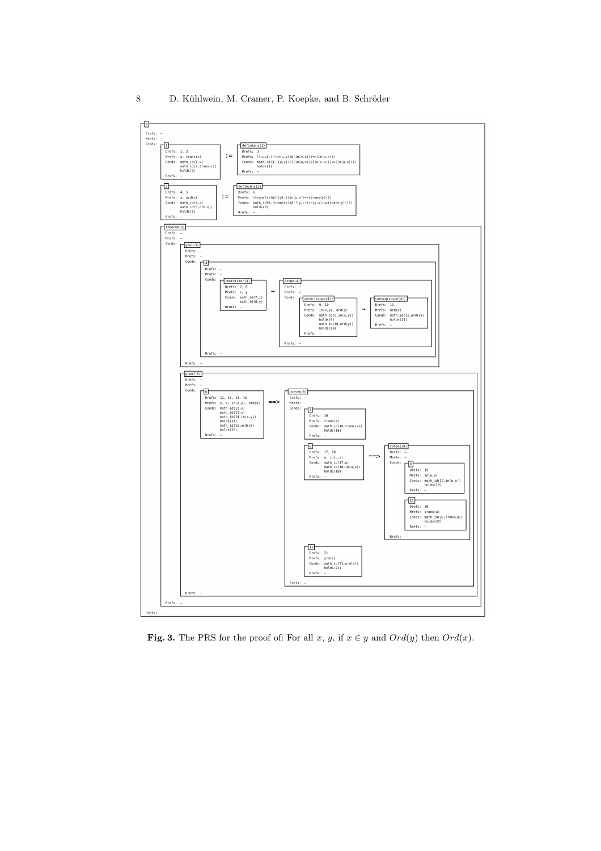

Fig. 3. The PRS for the proof of: For all  $x, y$ , if  $x \in y$  and  $Ord(y)$  then  $Ord(x)$ .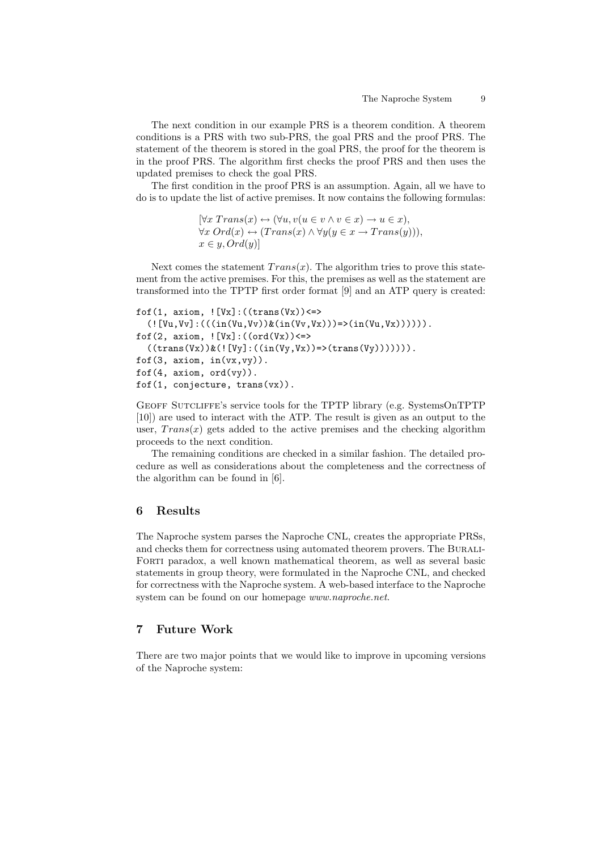The next condition in our example PRS is a theorem condition. A theorem conditions is a PRS with two sub-PRS, the goal PRS and the proof PRS. The statement of the theorem is stored in the goal PRS, the proof for the theorem is in the proof PRS. The algorithm first checks the proof PRS and then uses the updated premises to check the goal PRS.

The first condition in the proof PRS is an assumption. Again, all we have to do is to update the list of active premises. It now contains the following formulas:

> $[\forall x \; Trans(x) \leftrightarrow (\forall u, v(u \in v \land v \in x) \rightarrow u \in x),$  $\forall x \; Ord(x) \leftrightarrow (Trans(x) \land \forall y(y \in x \rightarrow Trans(y))),$  $x \in y$ ,  $Ord(y)$ ]

Next comes the statement  $Trans(x)$ . The algorithm tries to prove this statement from the active premises. For this, the premises as well as the statement are transformed into the TPTP first order format [9] and an ATP query is created:

```
fof(1, axiom, ! [Vx]: ((trans(Vx)) \leq(![Vu,Vv]:(((in(Vu,Vv))&(in(Vv,Vx)))=)(in(Vu,Vx)))).
fof(2, axiom, ! [Vx] : ((ord(Vx)) \leqslant((trans(Vx))&([Vy]:((in(Vy,Vx))=&(trans(Vy)))))).
fof(3, axiom, in(vx,vy)).
fof(4, axiom, ord(vy)).
fof(1, conjecture, trans(vx)).
```
Geoff Sutcliffe's service tools for the TPTP library (e.g. SystemsOnTPTP [10]) are used to interact with the ATP. The result is given as an output to the user,  $Trans(x)$  gets added to the active premises and the checking algorithm proceeds to the next condition.

The remaining conditions are checked in a similar fashion. The detailed procedure as well as considerations about the completeness and the correctness of the algorithm can be found in [6].

### 6 Results

The Naproche system parses the Naproche CNL, creates the appropriate PRSs, and checks them for correctness using automated theorem provers. The Burali-Forti paradox, a well known mathematical theorem, as well as several basic statements in group theory, were formulated in the Naproche CNL, and checked for correctness with the Naproche system. A web-based interface to the Naproche system can be found on our homepage www.naproche.net.

## 7 Future Work

There are two major points that we would like to improve in upcoming versions of the Naproche system: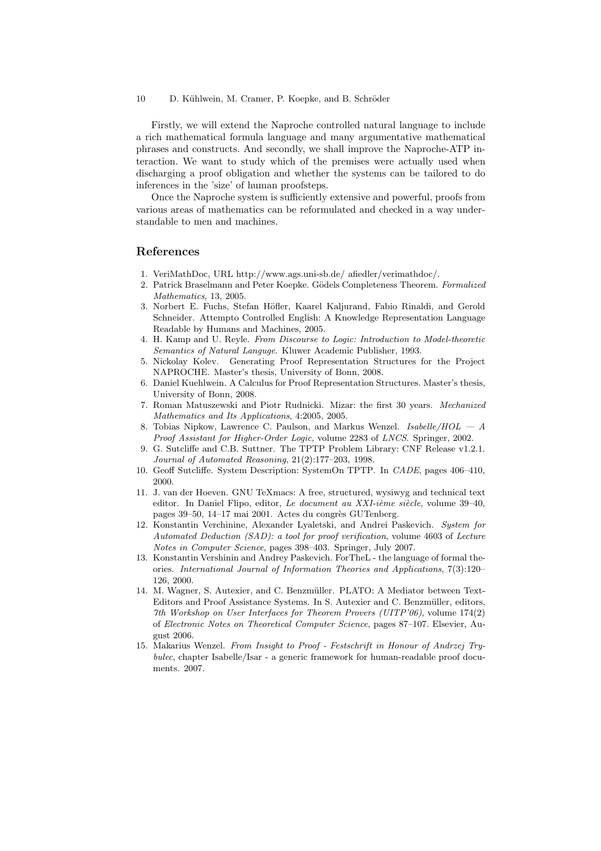10 D. Kühlwein, M. Cramer, P. Koepke, and B. Schröder

Firstly, we will extend the Naproche controlled natural language to include a rich mathematical formula language and many argumentative mathematical phrases and constructs. And secondly, we shall improve the Naproche-ATP interaction. We want to study which of the premises were actually used when discharging a proof obligation and whether the systems can be tailored to do inferences in the 'size' of human proofsteps.

Once the Naproche system is sufficiently extensive and powerful, proofs from various areas of mathematics can be reformulated and checked in a way understandable to men and machines.

### References

- 1. VeriMathDoc, URL http://www.ags.uni-sb.de/ afiedler/verimathdoc/.
- 2. Patrick Braselmann and Peter Koepke. Gödels Completeness Theorem. *Formalized Mathematics*, 13, 2005.
- 3. Norbert E. Fuchs, Stefan H¨ofler, Kaarel Kaljurand, Fabio Rinaldi, and Gerold Schneider. Attempto Controlled English: A Knowledge Representation Language Readable by Humans and Machines, 2005.
- 4. H. Kamp and U. Reyle. *From Discourse to Logic: Introduction to Model-theoretic Semantics of Natural Languge*. Kluwer Academic Publisher, 1993.
- 5. Nickolay Kolev. Generating Proof Representation Structures for the Project NAPROCHE. Master's thesis, University of Bonn, 2008.
- 6. Daniel Kuehlwein. A Calculus for Proof Representation Structures. Master's thesis, University of Bonn, 2008.
- 7. Roman Matuszewski and Piotr Rudnicki. Mizar: the first 30 years. *Mechanized Mathematics and Its Applications*, 4:2005, 2005.
- 8. Tobias Nipkow, Lawrence C. Paulson, and Markus Wenzel. *Isabelle/HOL A Proof Assistant for Higher-Order Logic*, volume 2283 of *LNCS*. Springer, 2002.
- 9. G. Sutcliffe and C.B. Suttner. The TPTP Problem Library: CNF Release v1.2.1. *Journal of Automated Reasoning*, 21(2):177–203, 1998.
- 10. Geoff Sutcliffe. System Description: SystemOn TPTP. In *CADE*, pages 406–410, 2000.
- 11. J. van der Hoeven. GNU TeXmacs: A free, structured, wysiwyg and technical text editor. In Daniel Flipo, editor, *Le document au XXI-ième siècle*, volume 39-40, pages 39–50, 14–17 mai 2001. Actes du congrès GUTenberg.
- 12. Konstantin Verchinine, Alexander Lyaletski, and Andrei Paskevich. *System for Automated Deduction (SAD): a tool for proof verification*, volume 4603 of *Lecture Notes in Computer Science*, pages 398–403. Springer, July 2007.
- 13. Konstantin Vershinin and Andrey Paskevich. ForTheL the language of formal theories. *International Journal of Information Theories and Applications*, 7(3):120– 126, 2000.
- 14. M. Wagner, S. Autexier, and C. Benzmüller. PLATO: A Mediator between Text-Editors and Proof Assistance Systems. In S. Autexier and C. Benzmüller, editors, *7th Workshop on User Interfaces for Theorem Provers (UITP'06)*, volume 174(2) of *Electronic Notes on Theoretical Computer Science*, pages 87–107. Elsevier, August 2006.
- 15. Makarius Wenzel. *From Insight to Proof Festschrift in Honour of Andrzej Trybulec*, chapter Isabelle/Isar - a generic framework for human-readable proof documents. 2007.